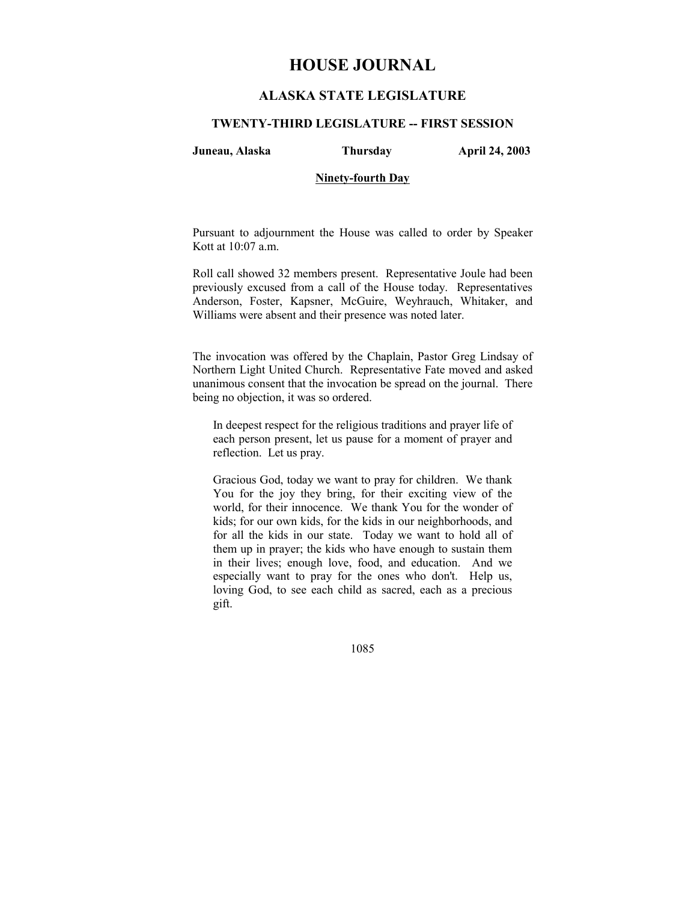# **HOUSE JOURNAL**

# **ALASKA STATE LEGISLATURE**

### **TWENTY-THIRD LEGISLATURE -- FIRST SESSION**

**Juneau, Alaska Thursday April 24, 2003** 

## **Ninety-fourth Day**

Pursuant to adjournment the House was called to order by Speaker Kott at 10:07 a.m.

Roll call showed 32 members present. Representative Joule had been previously excused from a call of the House today. Representatives Anderson, Foster, Kapsner, McGuire, Weyhrauch, Whitaker, and Williams were absent and their presence was noted later.

The invocation was offered by the Chaplain, Pastor Greg Lindsay of Northern Light United Church. Representative Fate moved and asked unanimous consent that the invocation be spread on the journal. There being no objection, it was so ordered.

In deepest respect for the religious traditions and prayer life of each person present, let us pause for a moment of prayer and reflection. Let us pray.

Gracious God, today we want to pray for children. We thank You for the joy they bring, for their exciting view of the world, for their innocence. We thank You for the wonder of kids; for our own kids, for the kids in our neighborhoods, and for all the kids in our state. Today we want to hold all of them up in prayer; the kids who have enough to sustain them in their lives; enough love, food, and education. And we especially want to pray for the ones who don't. Help us, loving God, to see each child as sacred, each as a precious gift.

1085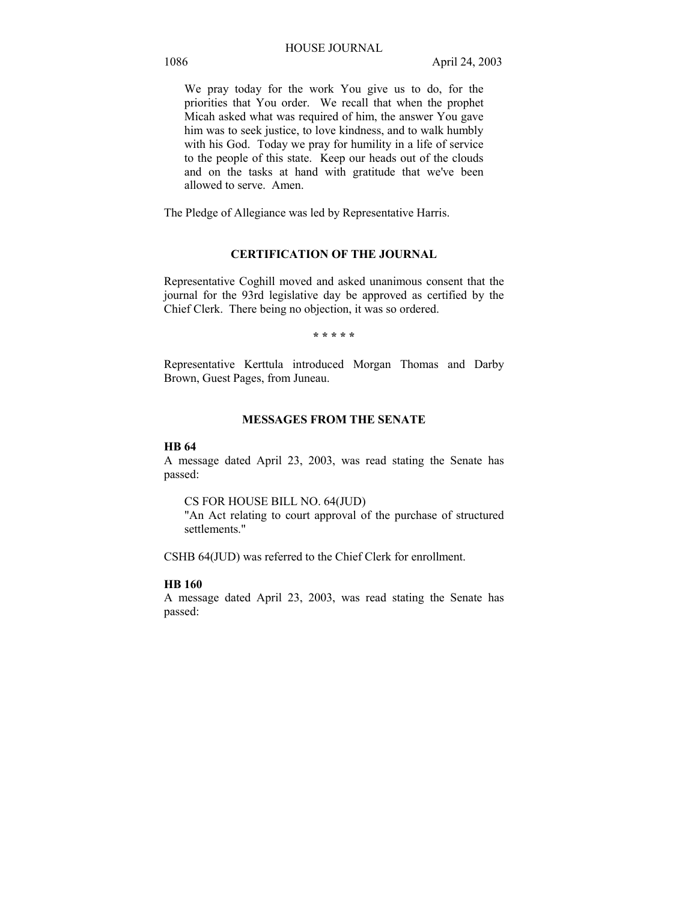We pray today for the work You give us to do, for the priorities that You order. We recall that when the prophet Micah asked what was required of him, the answer You gave him was to seek justice, to love kindness, and to walk humbly with his God. Today we pray for humility in a life of service to the people of this state. Keep our heads out of the clouds and on the tasks at hand with gratitude that we've been allowed to serve. Amen.

The Pledge of Allegiance was led by Representative Harris.

# **CERTIFICATION OF THE JOURNAL**

Representative Coghill moved and asked unanimous consent that the journal for the 93rd legislative day be approved as certified by the Chief Clerk. There being no objection, it was so ordered.

**\* \* \* \* \*** 

Representative Kerttula introduced Morgan Thomas and Darby Brown, Guest Pages, from Juneau.

# **MESSAGES FROM THE SENATE**

## **HB 64**

A message dated April 23, 2003, was read stating the Senate has passed:

#### CS FOR HOUSE BILL NO. 64(JUD)

"An Act relating to court approval of the purchase of structured settlements."

CSHB 64(JUD) was referred to the Chief Clerk for enrollment.

## **HB 160**

A message dated April 23, 2003, was read stating the Senate has passed: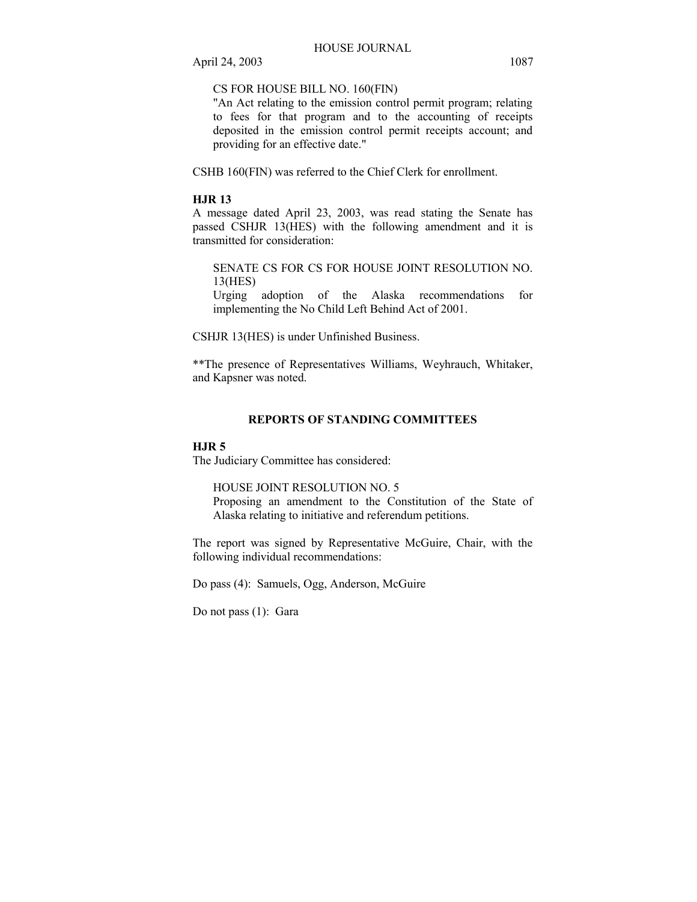CS FOR HOUSE BILL NO. 160(FIN)

"An Act relating to the emission control permit program; relating to fees for that program and to the accounting of receipts deposited in the emission control permit receipts account; and providing for an effective date."

CSHB 160(FIN) was referred to the Chief Clerk for enrollment.

## **HJR 13**

A message dated April 23, 2003, was read stating the Senate has passed CSHJR 13(HES) with the following amendment and it is transmitted for consideration:

SENATE CS FOR CS FOR HOUSE JOINT RESOLUTION NO. 13(HES)

Urging adoption of the Alaska recommendations for implementing the No Child Left Behind Act of 2001.

CSHJR 13(HES) is under Unfinished Business.

\*\*The presence of Representatives Williams, Weyhrauch, Whitaker, and Kapsner was noted.

# **REPORTS OF STANDING COMMITTEES**

## **HJR 5**

The Judiciary Committee has considered:

HOUSE JOINT RESOLUTION NO. 5

Proposing an amendment to the Constitution of the State of Alaska relating to initiative and referendum petitions.

The report was signed by Representative McGuire, Chair, with the following individual recommendations:

Do pass (4): Samuels, Ogg, Anderson, McGuire

Do not pass (1): Gara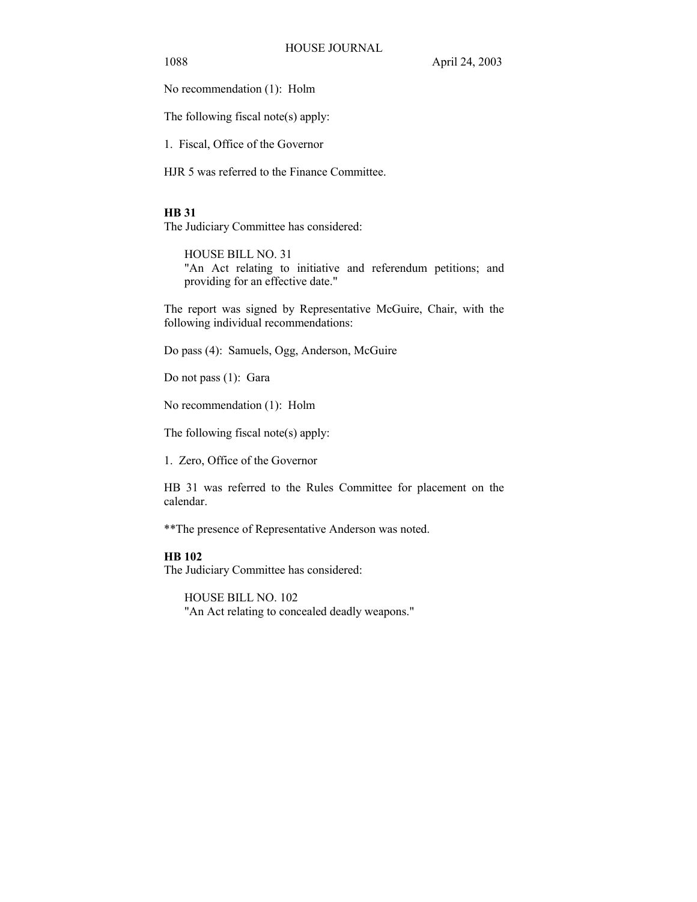1088 April 24, 2003

No recommendation (1): Holm

The following fiscal note(s) apply:

1. Fiscal, Office of the Governor

HJR 5 was referred to the Finance Committee.

# **HB 31**

The Judiciary Committee has considered:

HOUSE BILL NO. 31 "An Act relating to initiative and referendum petitions; and providing for an effective date."

The report was signed by Representative McGuire, Chair, with the following individual recommendations:

Do pass (4): Samuels, Ogg, Anderson, McGuire

Do not pass (1): Gara

No recommendation (1): Holm

The following fiscal note(s) apply:

1. Zero, Office of the Governor

HB 31 was referred to the Rules Committee for placement on the calendar.

\*\*The presence of Representative Anderson was noted.

# **HB 102**

The Judiciary Committee has considered:

HOUSE BILL NO. 102 "An Act relating to concealed deadly weapons."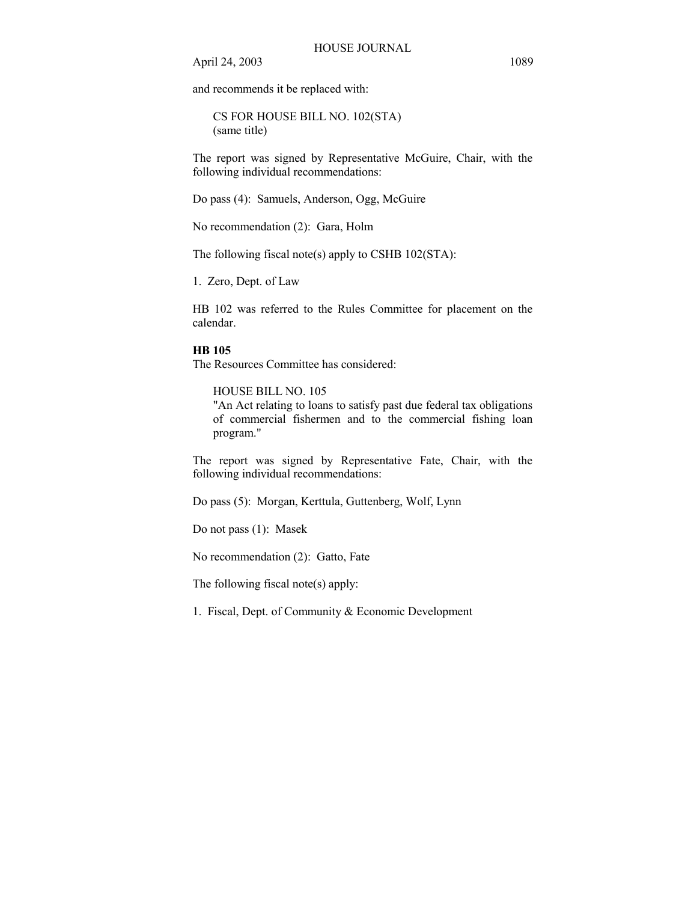and recommends it be replaced with:

CS FOR HOUSE BILL NO. 102(STA) (same title)

The report was signed by Representative McGuire, Chair, with the following individual recommendations:

Do pass (4): Samuels, Anderson, Ogg, McGuire

No recommendation (2): Gara, Holm

The following fiscal note(s) apply to CSHB 102(STA):

1. Zero, Dept. of Law

HB 102 was referred to the Rules Committee for placement on the calendar.

# **HB 105**

The Resources Committee has considered:

HOUSE BILL NO. 105

"An Act relating to loans to satisfy past due federal tax obligations of commercial fishermen and to the commercial fishing loan program."

The report was signed by Representative Fate, Chair, with the following individual recommendations:

Do pass (5): Morgan, Kerttula, Guttenberg, Wolf, Lynn

Do not pass (1): Masek

No recommendation (2): Gatto, Fate

The following fiscal note(s) apply:

1. Fiscal, Dept. of Community & Economic Development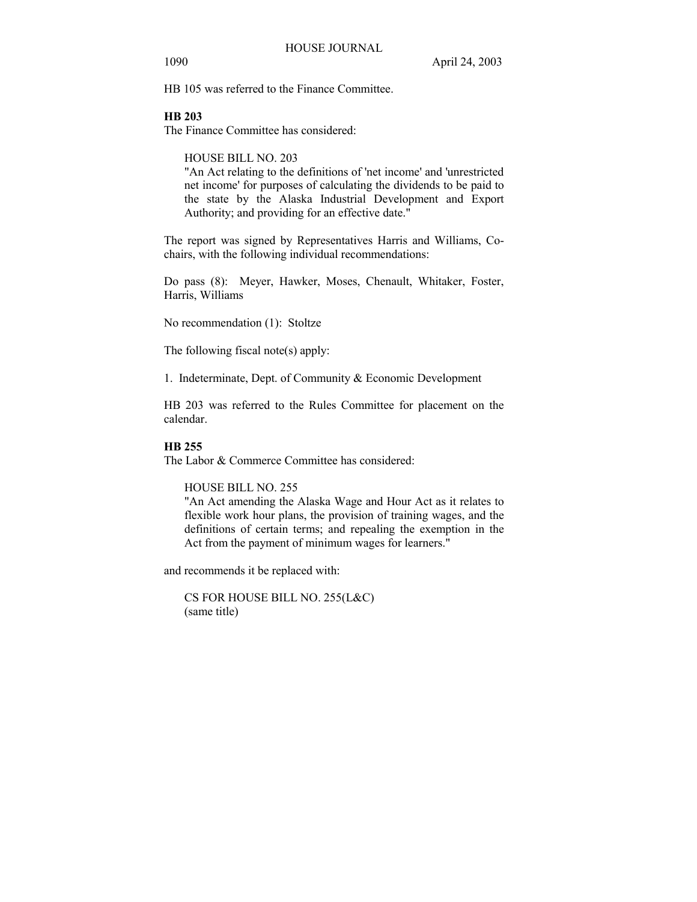HB 105 was referred to the Finance Committee.

# **HB 203**

The Finance Committee has considered:

HOUSE BILL NO. 203

"An Act relating to the definitions of 'net income' and 'unrestricted net income' for purposes of calculating the dividends to be paid to the state by the Alaska Industrial Development and Export Authority; and providing for an effective date."

The report was signed by Representatives Harris and Williams, Cochairs, with the following individual recommendations:

Do pass (8): Meyer, Hawker, Moses, Chenault, Whitaker, Foster, Harris, Williams

No recommendation (1): Stoltze

The following fiscal note(s) apply:

1. Indeterminate, Dept. of Community & Economic Development

HB 203 was referred to the Rules Committee for placement on the calendar.

# **HB 255**

The Labor & Commerce Committee has considered:

HOUSE BILL NO. 255

"An Act amending the Alaska Wage and Hour Act as it relates to flexible work hour plans, the provision of training wages, and the definitions of certain terms; and repealing the exemption in the Act from the payment of minimum wages for learners."

and recommends it be replaced with:

CS FOR HOUSE BILL NO. 255(L&C) (same title)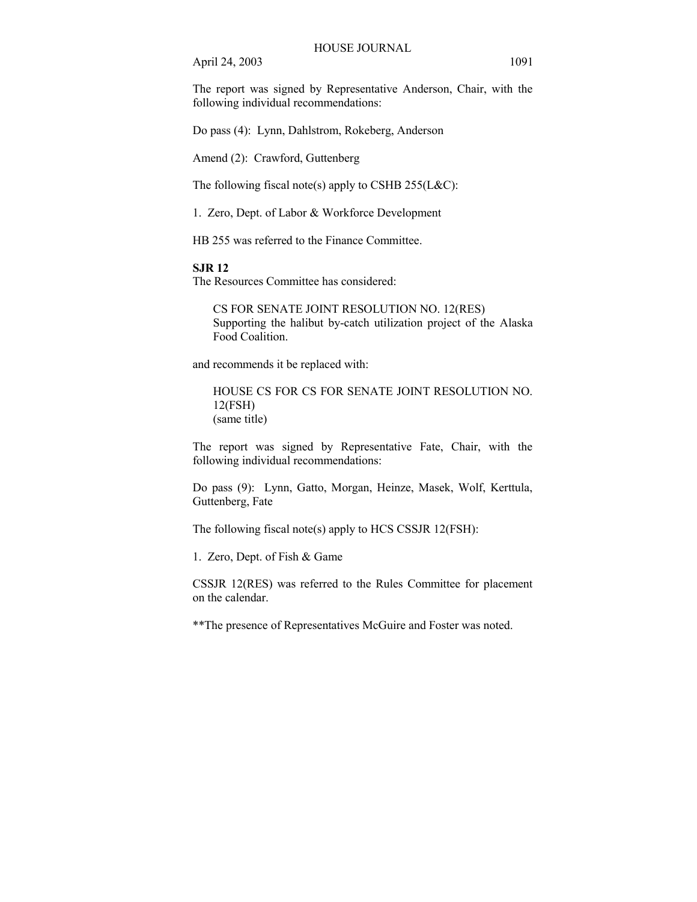The report was signed by Representative Anderson, Chair, with the following individual recommendations:

Do pass (4): Lynn, Dahlstrom, Rokeberg, Anderson

Amend (2): Crawford, Guttenberg

The following fiscal note(s) apply to CSHB  $255(L&C)$ :

1. Zero, Dept. of Labor & Workforce Development

HB 255 was referred to the Finance Committee.

## **SJR 12**

The Resources Committee has considered:

CS FOR SENATE JOINT RESOLUTION NO. 12(RES) Supporting the halibut by-catch utilization project of the Alaska Food Coalition.

and recommends it be replaced with:

HOUSE CS FOR CS FOR SENATE JOINT RESOLUTION NO. 12(FSH) (same title)

The report was signed by Representative Fate, Chair, with the following individual recommendations:

Do pass (9): Lynn, Gatto, Morgan, Heinze, Masek, Wolf, Kerttula, Guttenberg, Fate

The following fiscal note(s) apply to HCS CSSJR 12(FSH):

1. Zero, Dept. of Fish & Game

CSSJR 12(RES) was referred to the Rules Committee for placement on the calendar.

\*\*The presence of Representatives McGuire and Foster was noted.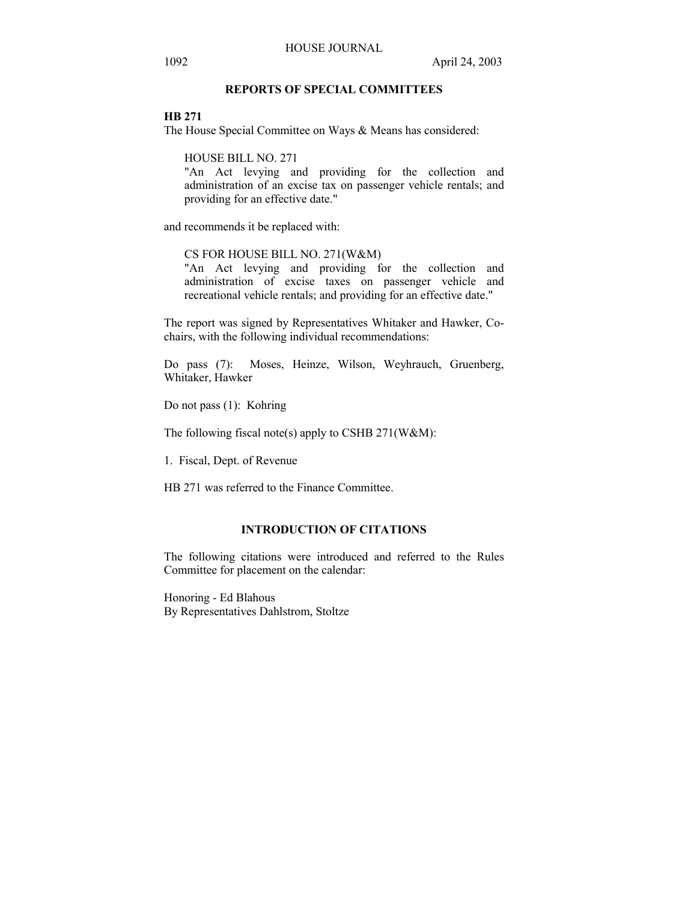# **REPORTS OF SPECIAL COMMITTEES**

#### **HB 271**

The House Special Committee on Ways & Means has considered:

HOUSE BILL NO. 271

"An Act levying and providing for the collection and administration of an excise tax on passenger vehicle rentals; and providing for an effective date."

and recommends it be replaced with:

# CS FOR HOUSE BILL NO. 271(W&M)

"An Act levying and providing for the collection and administration of excise taxes on passenger vehicle and recreational vehicle rentals; and providing for an effective date."

The report was signed by Representatives Whitaker and Hawker, Cochairs, with the following individual recommendations:

Do pass (7): Moses, Heinze, Wilson, Weyhrauch, Gruenberg, Whitaker, Hawker

Do not pass (1): Kohring

The following fiscal note(s) apply to CSHB 271(W&M):

1. Fiscal, Dept. of Revenue

HB 271 was referred to the Finance Committee.

## **INTRODUCTION OF CITATIONS**

The following citations were introduced and referred to the Rules Committee for placement on the calendar:

Honoring - Ed Blahous By Representatives Dahlstrom, Stoltze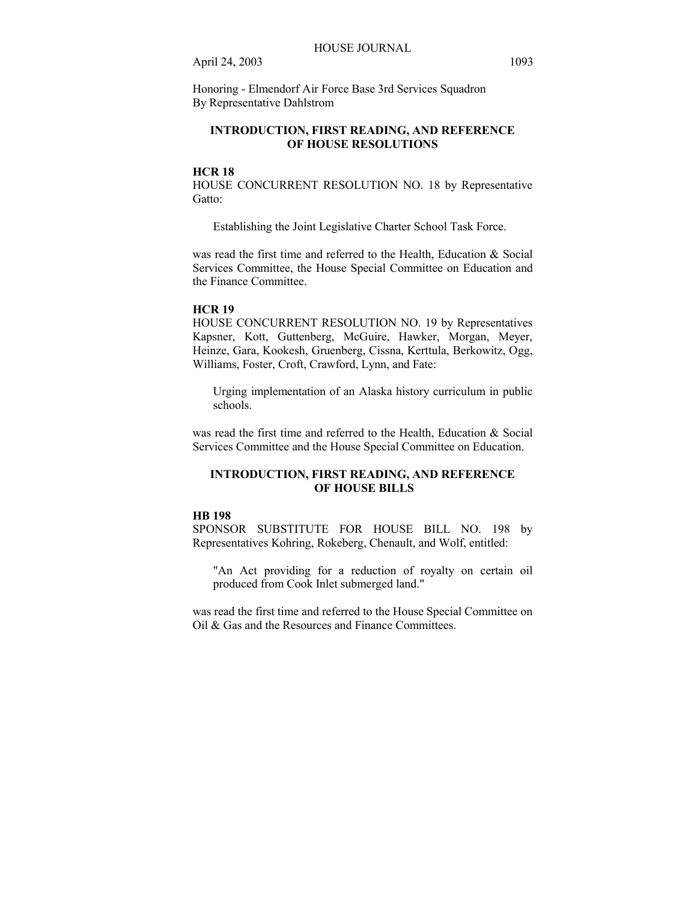Honoring - Elmendorf Air Force Base 3rd Services Squadron By Representative Dahlstrom

# **INTRODUCTION, FIRST READING, AND REFERENCE OF HOUSE RESOLUTIONS**

## **HCR 18**

HOUSE CONCURRENT RESOLUTION NO. 18 by Representative Gatto:

Establishing the Joint Legislative Charter School Task Force.

was read the first time and referred to the Health, Education & Social Services Committee, the House Special Committee on Education and the Finance Committee.

#### **HCR 19**

HOUSE CONCURRENT RESOLUTION NO. 19 by Representatives Kapsner, Kott, Guttenberg, McGuire, Hawker, Morgan, Meyer, Heinze, Gara, Kookesh, Gruenberg, Cissna, Kerttula, Berkowitz, Ogg, Williams, Foster, Croft, Crawford, Lynn, and Fate:

Urging implementation of an Alaska history curriculum in public schools.

was read the first time and referred to the Health, Education & Social Services Committee and the House Special Committee on Education.

# **INTRODUCTION, FIRST READING, AND REFERENCE OF HOUSE BILLS**

## **HB 198**

SPONSOR SUBSTITUTE FOR HOUSE BILL NO. 198 by Representatives Kohring, Rokeberg, Chenault, and Wolf, entitled:

"An Act providing for a reduction of royalty on certain oil produced from Cook Inlet submerged land."

was read the first time and referred to the House Special Committee on Oil & Gas and the Resources and Finance Committees.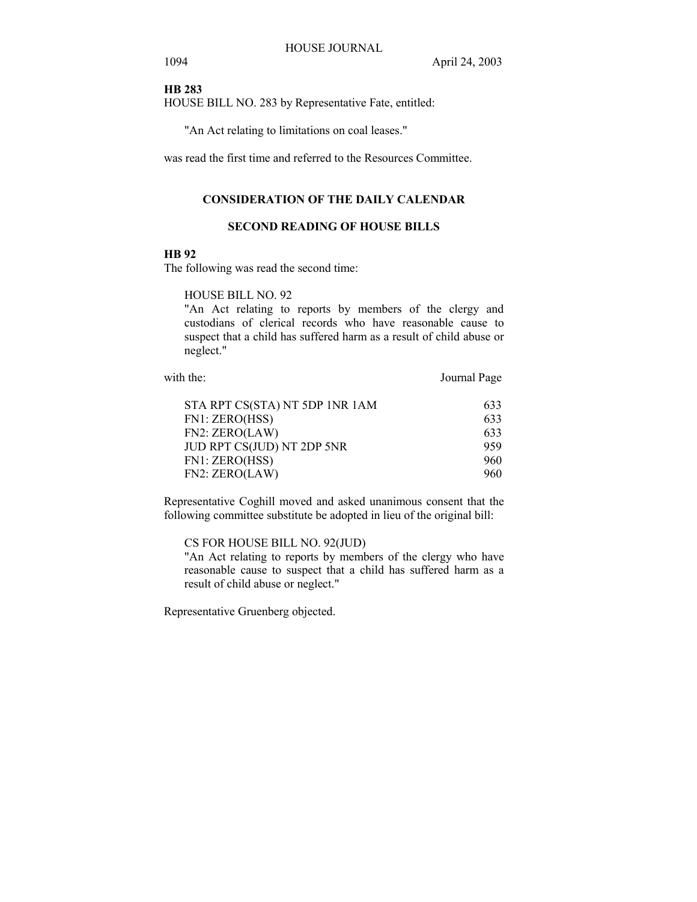## **HB 283**

HOUSE BILL NO. 283 by Representative Fate, entitled:

"An Act relating to limitations on coal leases."

was read the first time and referred to the Resources Committee.

# **CONSIDERATION OF THE DAILY CALENDAR**

# **SECOND READING OF HOUSE BILLS**

# **HB 92**

The following was read the second time:

HOUSE BILL NO. 92

"An Act relating to reports by members of the clergy and custodians of clerical records who have reasonable cause to suspect that a child has suffered harm as a result of child abuse or neglect."

with the: Journal Page

| 633 |
|-----|
| 633 |
| 633 |
| 959 |
| 960 |
| 960 |
|     |

Representative Coghill moved and asked unanimous consent that the following committee substitute be adopted in lieu of the original bill:

CS FOR HOUSE BILL NO. 92(JUD)

"An Act relating to reports by members of the clergy who have reasonable cause to suspect that a child has suffered harm as a result of child abuse or neglect."

Representative Gruenberg objected.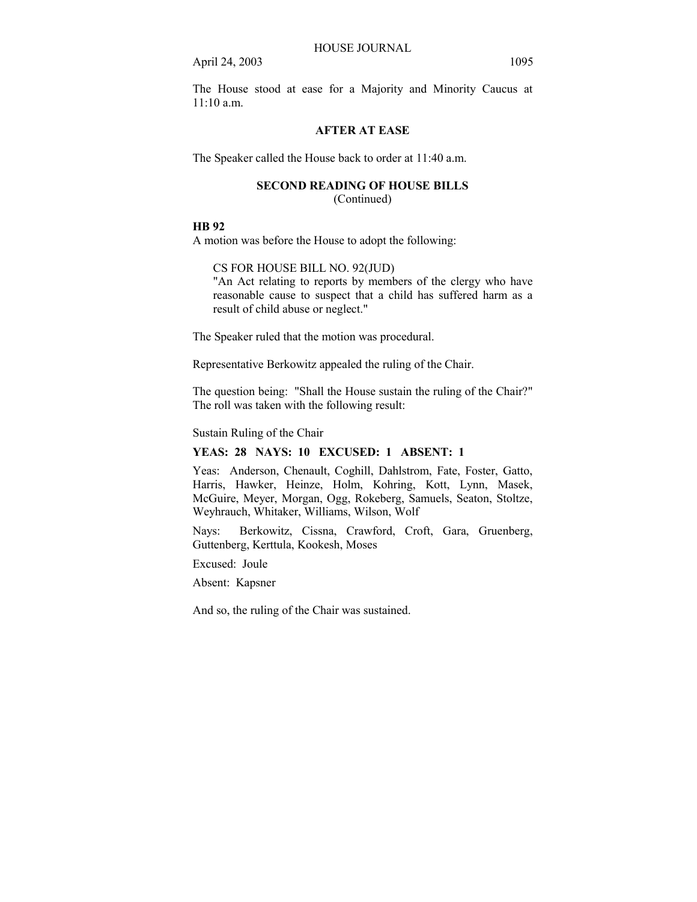The House stood at ease for a Majority and Minority Caucus at  $11:10a \text{ m}$ 

# **AFTER AT EASE**

The Speaker called the House back to order at 11:40 a.m.

# **SECOND READING OF HOUSE BILLS**

(Continued)

# **HB 92**

A motion was before the House to adopt the following:

CS FOR HOUSE BILL NO. 92(JUD)

"An Act relating to reports by members of the clergy who have reasonable cause to suspect that a child has suffered harm as a result of child abuse or neglect."

The Speaker ruled that the motion was procedural.

Representative Berkowitz appealed the ruling of the Chair.

The question being: "Shall the House sustain the ruling of the Chair?" The roll was taken with the following result:

Sustain Ruling of the Chair

# **YEAS: 28 NAYS: 10 EXCUSED: 1 ABSENT: 1**

Yeas: Anderson, Chenault, Coghill, Dahlstrom, Fate, Foster, Gatto, Harris, Hawker, Heinze, Holm, Kohring, Kott, Lynn, Masek, McGuire, Meyer, Morgan, Ogg, Rokeberg, Samuels, Seaton, Stoltze, Weyhrauch, Whitaker, Williams, Wilson, Wolf

Nays: Berkowitz, Cissna, Crawford, Croft, Gara, Gruenberg, Guttenberg, Kerttula, Kookesh, Moses

Excused: Joule

Absent: Kapsner

And so, the ruling of the Chair was sustained.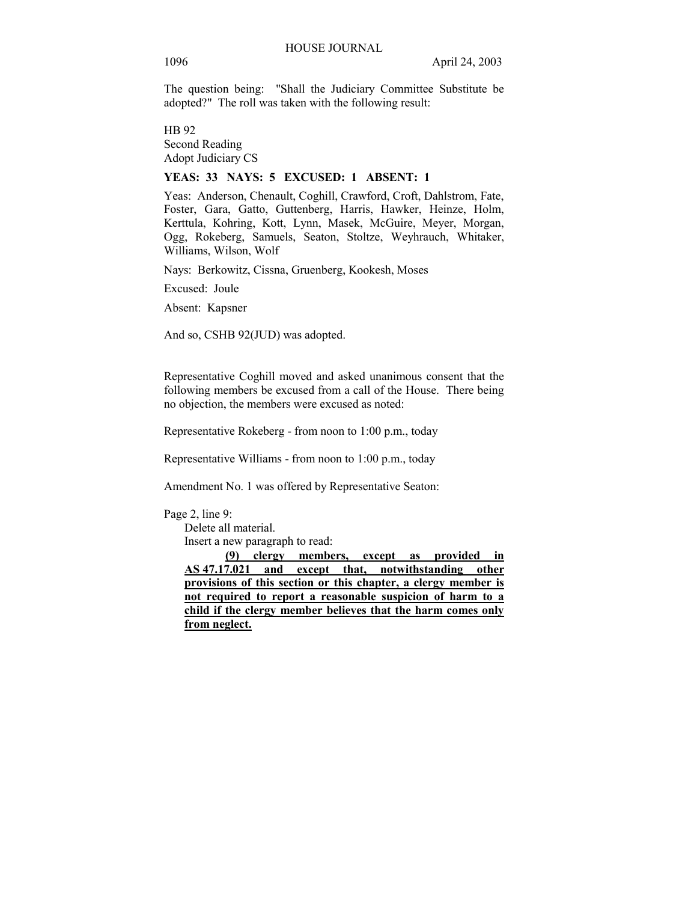The question being: "Shall the Judiciary Committee Substitute be adopted?" The roll was taken with the following result:

HB 92 Second Reading Adopt Judiciary CS

## **YEAS: 33 NAYS: 5 EXCUSED: 1 ABSENT: 1**

Yeas: Anderson, Chenault, Coghill, Crawford, Croft, Dahlstrom, Fate, Foster, Gara, Gatto, Guttenberg, Harris, Hawker, Heinze, Holm, Kerttula, Kohring, Kott, Lynn, Masek, McGuire, Meyer, Morgan, Ogg, Rokeberg, Samuels, Seaton, Stoltze, Weyhrauch, Whitaker, Williams, Wilson, Wolf

Nays: Berkowitz, Cissna, Gruenberg, Kookesh, Moses

Excused: Joule

Absent: Kapsner

And so, CSHB 92(JUD) was adopted.

Representative Coghill moved and asked unanimous consent that the following members be excused from a call of the House. There being no objection, the members were excused as noted:

Representative Rokeberg - from noon to 1:00 p.m., today

Representative Williams - from noon to 1:00 p.m., today

Amendment No. 1 was offered by Representative Seaton:

### Page 2, line 9:

 Delete all material. Insert a new paragraph to read:

 **(9) clergy members, except as provided in AS 47.17.021 and except that, notwithstanding other provisions of this section or this chapter, a clergy member is not required to report a reasonable suspicion of harm to a child if the clergy member believes that the harm comes only from neglect.**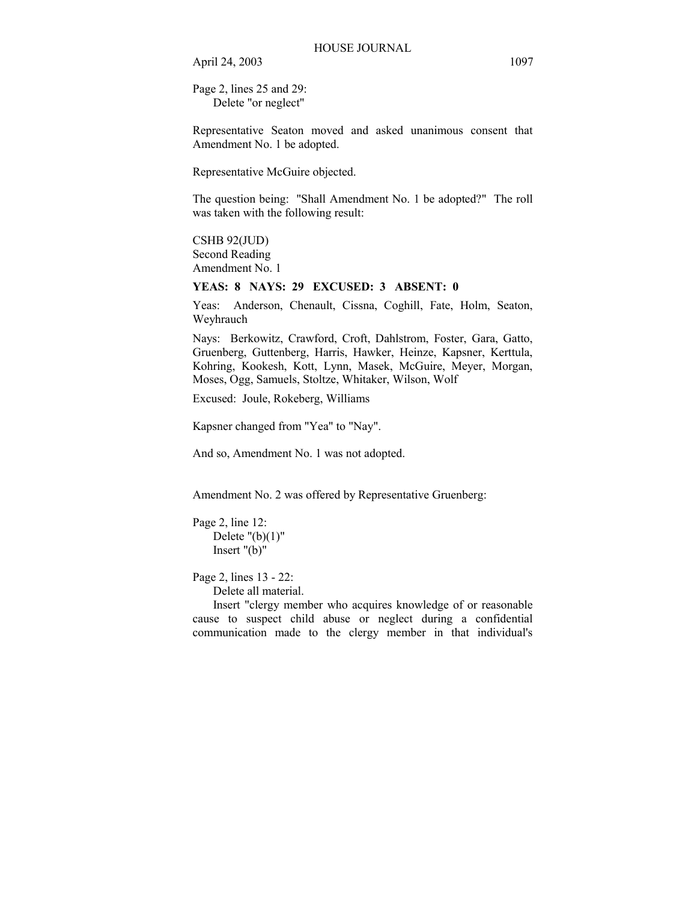Page 2, lines 25 and 29: Delete "or neglect"

Representative Seaton moved and asked unanimous consent that Amendment No. 1 be adopted.

Representative McGuire objected.

The question being: "Shall Amendment No. 1 be adopted?" The roll was taken with the following result:

# CSHB 92(JUD)

Second Reading Amendment No. 1

## **YEAS: 8 NAYS: 29 EXCUSED: 3 ABSENT: 0**

Yeas: Anderson, Chenault, Cissna, Coghill, Fate, Holm, Seaton, Weyhrauch

Nays: Berkowitz, Crawford, Croft, Dahlstrom, Foster, Gara, Gatto, Gruenberg, Guttenberg, Harris, Hawker, Heinze, Kapsner, Kerttula, Kohring, Kookesh, Kott, Lynn, Masek, McGuire, Meyer, Morgan, Moses, Ogg, Samuels, Stoltze, Whitaker, Wilson, Wolf

Excused: Joule, Rokeberg, Williams

Kapsner changed from "Yea" to "Nay".

And so, Amendment No. 1 was not adopted.

Amendment No. 2 was offered by Representative Gruenberg:

```
Page 2, line 12: 
Delete "({b})(1)" Insert "(b)"
```
Page 2, lines 13 - 22:

Delete all material.

 Insert "clergy member who acquires knowledge of or reasonable cause to suspect child abuse or neglect during a confidential communication made to the clergy member in that individual's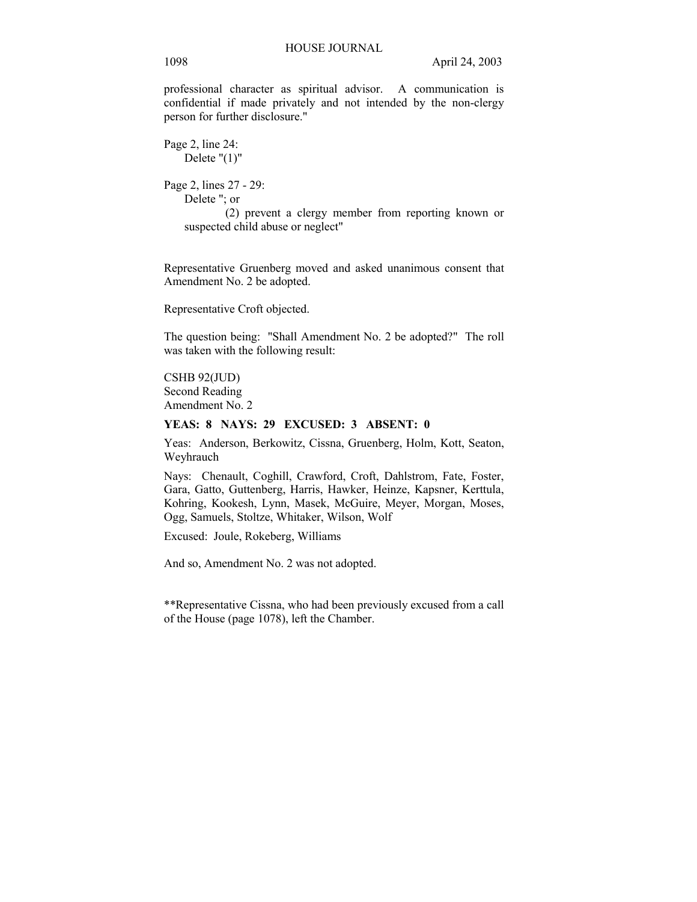professional character as spiritual advisor. A communication is confidential if made privately and not intended by the non-clergy person for further disclosure."

Page 2, line 24: Delete "(1)" Page 2, lines 27 - 29: Delete "; or (2) prevent a clergy member from reporting known or suspected child abuse or neglect"

Representative Gruenberg moved and asked unanimous consent that Amendment No. 2 be adopted.

Representative Croft objected.

The question being: "Shall Amendment No. 2 be adopted?" The roll was taken with the following result:

CSHB 92(JUD) Second Reading Amendment No. 2

#### **YEAS: 8 NAYS: 29 EXCUSED: 3 ABSENT: 0**

Yeas: Anderson, Berkowitz, Cissna, Gruenberg, Holm, Kott, Seaton, Weyhrauch

Nays: Chenault, Coghill, Crawford, Croft, Dahlstrom, Fate, Foster, Gara, Gatto, Guttenberg, Harris, Hawker, Heinze, Kapsner, Kerttula, Kohring, Kookesh, Lynn, Masek, McGuire, Meyer, Morgan, Moses, Ogg, Samuels, Stoltze, Whitaker, Wilson, Wolf

Excused: Joule, Rokeberg, Williams

And so, Amendment No. 2 was not adopted.

\*\*Representative Cissna, who had been previously excused from a call of the House (page 1078), left the Chamber.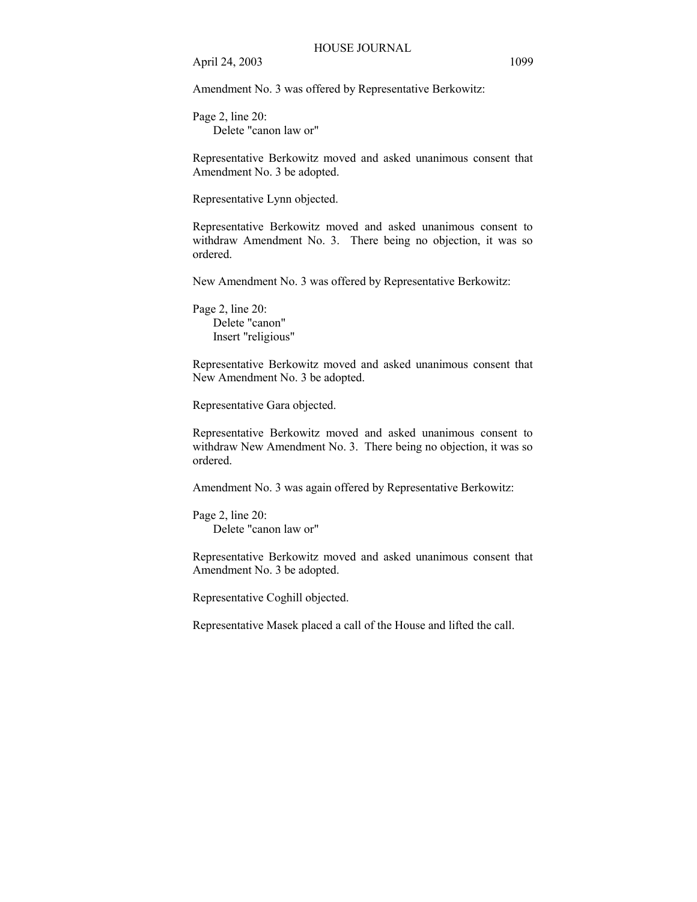Amendment No. 3 was offered by Representative Berkowitz:

Page 2, line 20: Delete "canon law or"

Representative Berkowitz moved and asked unanimous consent that Amendment No. 3 be adopted.

Representative Lynn objected.

Representative Berkowitz moved and asked unanimous consent to withdraw Amendment No. 3. There being no objection, it was so ordered.

New Amendment No. 3 was offered by Representative Berkowitz:

Page 2, line 20: Delete "canon" Insert "religious"

Representative Berkowitz moved and asked unanimous consent that New Amendment No. 3 be adopted.

Representative Gara objected.

Representative Berkowitz moved and asked unanimous consent to withdraw New Amendment No. 3. There being no objection, it was so ordered.

Amendment No. 3 was again offered by Representative Berkowitz:

Page 2, line 20: Delete "canon law or"

Representative Berkowitz moved and asked unanimous consent that Amendment No. 3 be adopted.

Representative Coghill objected.

Representative Masek placed a call of the House and lifted the call.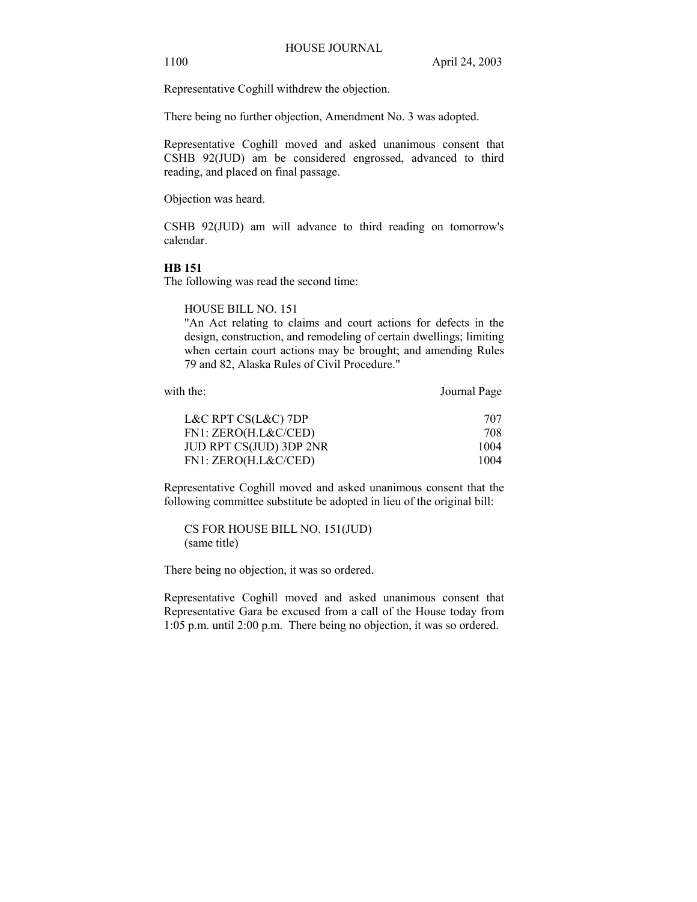Representative Coghill withdrew the objection.

There being no further objection, Amendment No. 3 was adopted.

Representative Coghill moved and asked unanimous consent that CSHB 92(JUD) am be considered engrossed, advanced to third reading, and placed on final passage.

Objection was heard.

CSHB 92(JUD) am will advance to third reading on tomorrow's calendar.

### **HB 151**

The following was read the second time:

HOUSE BILL NO. 151

"An Act relating to claims and court actions for defects in the design, construction, and remodeling of certain dwellings; limiting when certain court actions may be brought; and amending Rules 79 and 82, Alaska Rules of Civil Procedure."

| with the:               | Journal Page |
|-------------------------|--------------|
| L&C RPT $CS(L&C)$ 7DP   | 707          |
| FN1: ZERO(H.L&C/CED)    | 708          |
| JUD RPT CS(JUD) 3DP 2NR | 1004         |
| FN1: ZERO(H.L&C/CED)    | 1004         |

Representative Coghill moved and asked unanimous consent that the following committee substitute be adopted in lieu of the original bill:

CS FOR HOUSE BILL NO. 151(JUD) (same title)

There being no objection, it was so ordered.

Representative Coghill moved and asked unanimous consent that Representative Gara be excused from a call of the House today from 1:05 p.m. until 2:00 p.m. There being no objection, it was so ordered.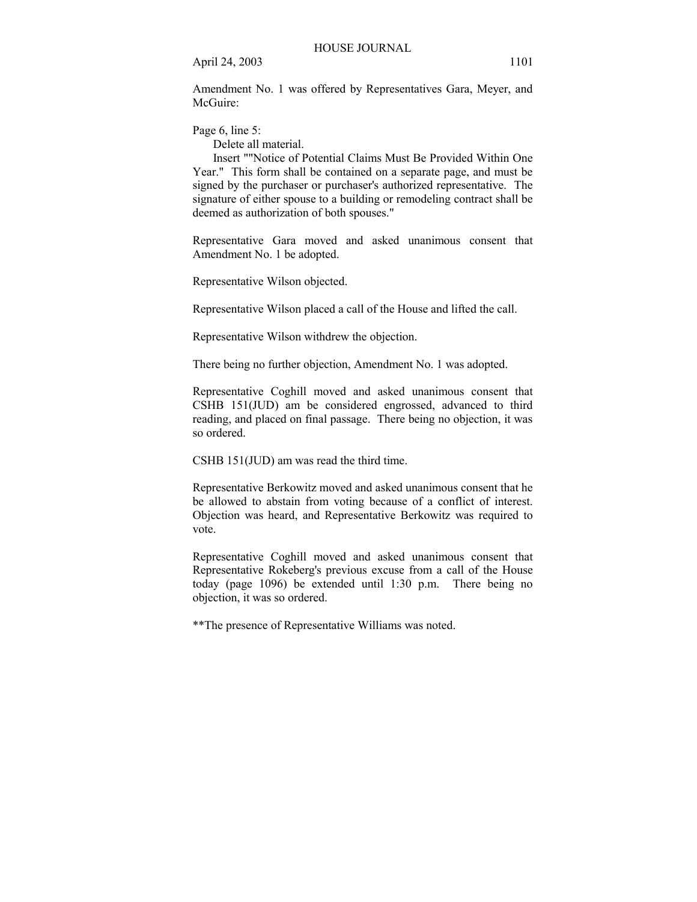Amendment No. 1 was offered by Representatives Gara, Meyer, and McGuire<sup>.</sup>

Page 6, line 5:

Delete all material.

 Insert ""Notice of Potential Claims Must Be Provided Within One Year." This form shall be contained on a separate page, and must be signed by the purchaser or purchaser's authorized representative. The signature of either spouse to a building or remodeling contract shall be deemed as authorization of both spouses."

Representative Gara moved and asked unanimous consent that Amendment No. 1 be adopted.

Representative Wilson objected.

Representative Wilson placed a call of the House and lifted the call.

Representative Wilson withdrew the objection.

There being no further objection, Amendment No. 1 was adopted.

Representative Coghill moved and asked unanimous consent that CSHB 151(JUD) am be considered engrossed, advanced to third reading, and placed on final passage. There being no objection, it was so ordered.

CSHB 151(JUD) am was read the third time.

Representative Berkowitz moved and asked unanimous consent that he be allowed to abstain from voting because of a conflict of interest. Objection was heard, and Representative Berkowitz was required to vote.

Representative Coghill moved and asked unanimous consent that Representative Rokeberg's previous excuse from a call of the House today (page 1096) be extended until 1:30 p.m. There being no objection, it was so ordered.

\*\*The presence of Representative Williams was noted.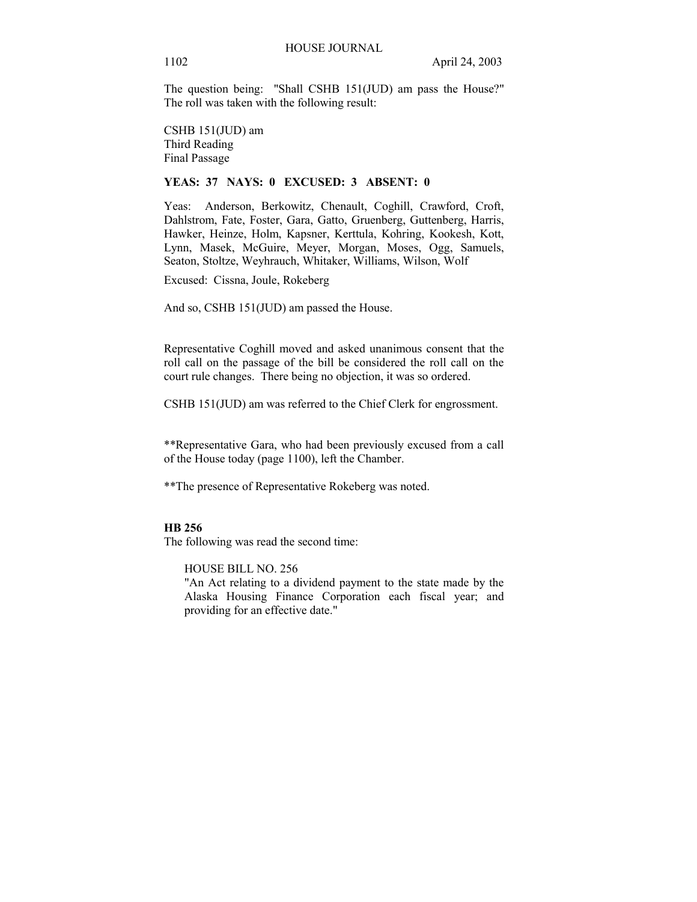The question being: "Shall CSHB 151(JUD) am pass the House?" The roll was taken with the following result:

CSHB 151(JUD) am Third Reading Final Passage

# **YEAS: 37 NAYS: 0 EXCUSED: 3 ABSENT: 0**

Yeas: Anderson, Berkowitz, Chenault, Coghill, Crawford, Croft, Dahlstrom, Fate, Foster, Gara, Gatto, Gruenberg, Guttenberg, Harris, Hawker, Heinze, Holm, Kapsner, Kerttula, Kohring, Kookesh, Kott, Lynn, Masek, McGuire, Meyer, Morgan, Moses, Ogg, Samuels, Seaton, Stoltze, Weyhrauch, Whitaker, Williams, Wilson, Wolf

Excused: Cissna, Joule, Rokeberg

And so, CSHB 151(JUD) am passed the House.

Representative Coghill moved and asked unanimous consent that the roll call on the passage of the bill be considered the roll call on the court rule changes. There being no objection, it was so ordered.

CSHB 151(JUD) am was referred to the Chief Clerk for engrossment.

\*\*Representative Gara, who had been previously excused from a call of the House today (page 1100), left the Chamber.

\*\*The presence of Representative Rokeberg was noted.

# **HB 256**

The following was read the second time:

HOUSE BILL NO. 256

"An Act relating to a dividend payment to the state made by the Alaska Housing Finance Corporation each fiscal year; and providing for an effective date."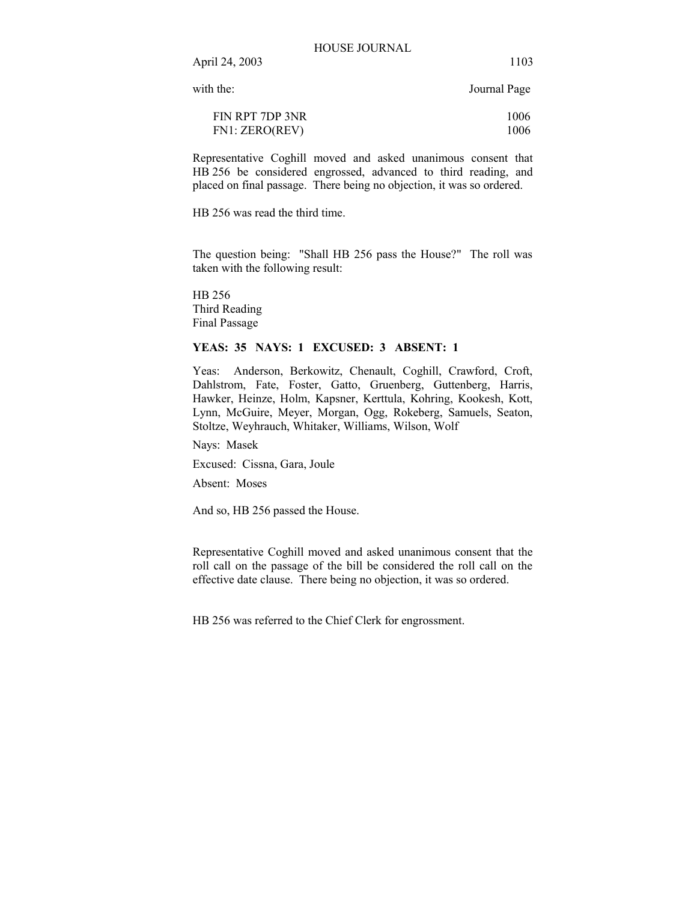with the: Journal Page

| FIN RPT 7DP 3NR | 1006 |
|-----------------|------|
| FN1: ZERO(REV)  | 1006 |

Representative Coghill moved and asked unanimous consent that HB 256 be considered engrossed, advanced to third reading, and placed on final passage. There being no objection, it was so ordered.

HB 256 was read the third time.

The question being: "Shall HB 256 pass the House?" The roll was taken with the following result:

HB 256 Third Reading Final Passage

# **YEAS: 35 NAYS: 1 EXCUSED: 3 ABSENT: 1**

Yeas: Anderson, Berkowitz, Chenault, Coghill, Crawford, Croft, Dahlstrom, Fate, Foster, Gatto, Gruenberg, Guttenberg, Harris, Hawker, Heinze, Holm, Kapsner, Kerttula, Kohring, Kookesh, Kott, Lynn, McGuire, Meyer, Morgan, Ogg, Rokeberg, Samuels, Seaton, Stoltze, Weyhrauch, Whitaker, Williams, Wilson, Wolf

Nays: Masek

Excused: Cissna, Gara, Joule

Absent: Moses

And so, HB 256 passed the House.

Representative Coghill moved and asked unanimous consent that the roll call on the passage of the bill be considered the roll call on the effective date clause. There being no objection, it was so ordered.

HB 256 was referred to the Chief Clerk for engrossment.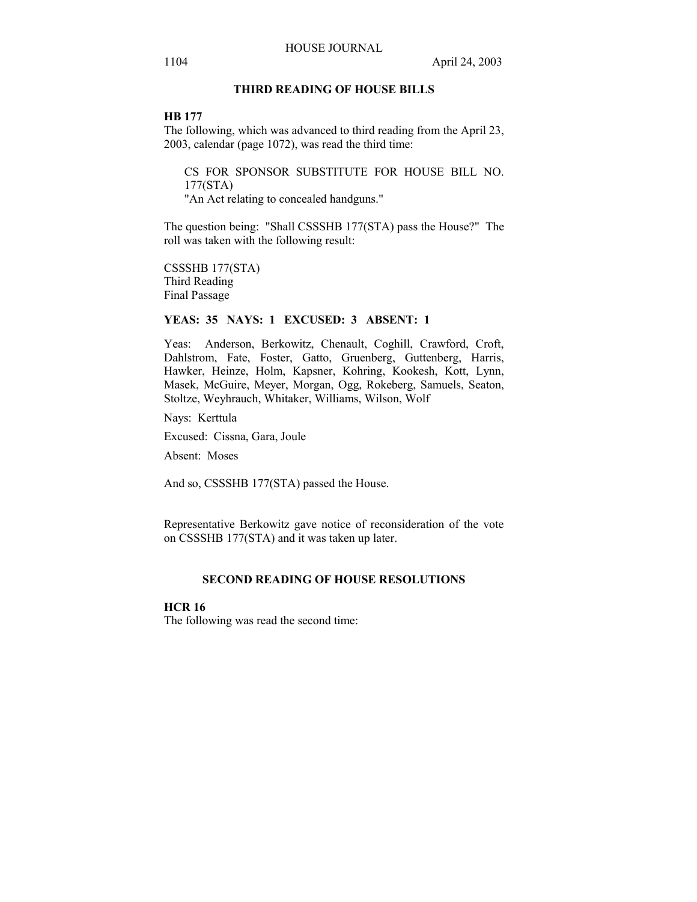# **THIRD READING OF HOUSE BILLS**

#### **HB 177**

The following, which was advanced to third reading from the April 23, 2003, calendar (page 1072), was read the third time:

CS FOR SPONSOR SUBSTITUTE FOR HOUSE BILL NO. 177(STA)

"An Act relating to concealed handguns."

The question being: "Shall CSSSHB 177(STA) pass the House?" The roll was taken with the following result:

CSSSHB 177(STA) Third Reading Final Passage

# **YEAS: 35 NAYS: 1 EXCUSED: 3 ABSENT: 1**

Yeas: Anderson, Berkowitz, Chenault, Coghill, Crawford, Croft, Dahlstrom, Fate, Foster, Gatto, Gruenberg, Guttenberg, Harris, Hawker, Heinze, Holm, Kapsner, Kohring, Kookesh, Kott, Lynn, Masek, McGuire, Meyer, Morgan, Ogg, Rokeberg, Samuels, Seaton, Stoltze, Weyhrauch, Whitaker, Williams, Wilson, Wolf

Nays: Kerttula

Excused: Cissna, Gara, Joule

Absent: Moses

And so, CSSSHB 177(STA) passed the House.

Representative Berkowitz gave notice of reconsideration of the vote on CSSSHB 177(STA) and it was taken up later.

# **SECOND READING OF HOUSE RESOLUTIONS**

# **HCR 16**

The following was read the second time: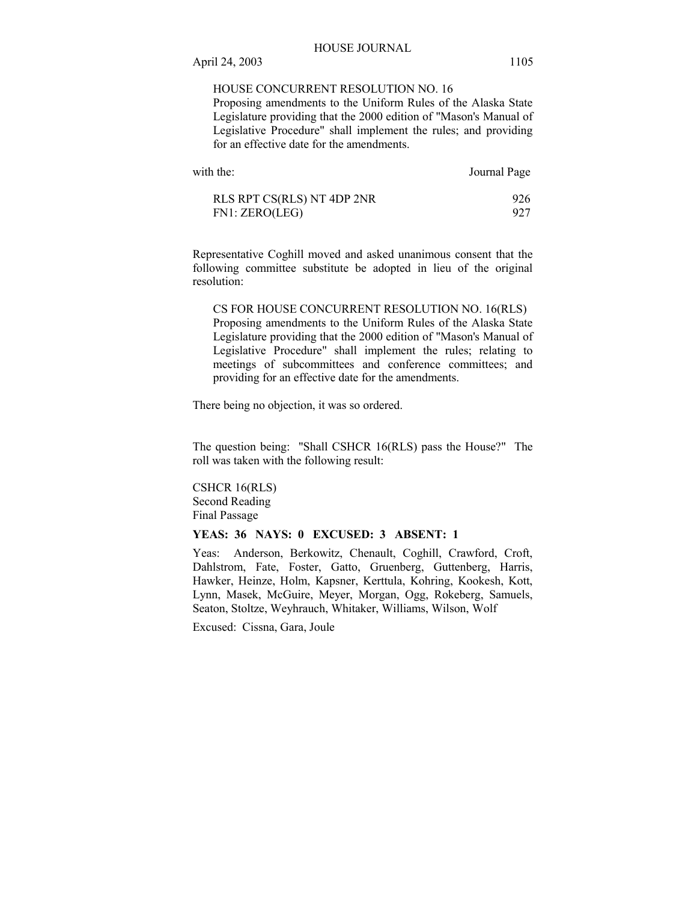## HOUSE CONCURRENT RESOLUTION NO. 16

Proposing amendments to the Uniform Rules of the Alaska State Legislature providing that the 2000 edition of "Mason's Manual of Legislative Procedure" shall implement the rules; and providing for an effective date for the amendments.

| with the:                  | Journal Page |
|----------------------------|--------------|
| RLS RPT CS(RLS) NT 4DP 2NR | 926          |
| FN1: ZERO(LEG)             | 927          |

Representative Coghill moved and asked unanimous consent that the following committee substitute be adopted in lieu of the original resolution:

CS FOR HOUSE CONCURRENT RESOLUTION NO. 16(RLS) Proposing amendments to the Uniform Rules of the Alaska State Legislature providing that the 2000 edition of "Mason's Manual of Legislative Procedure" shall implement the rules; relating to meetings of subcommittees and conference committees; and providing for an effective date for the amendments.

There being no objection, it was so ordered.

The question being: "Shall CSHCR 16(RLS) pass the House?" The roll was taken with the following result:

CSHCR 16(RLS) Second Reading Final Passage

# **YEAS: 36 NAYS: 0 EXCUSED: 3 ABSENT: 1**

Yeas: Anderson, Berkowitz, Chenault, Coghill, Crawford, Croft, Dahlstrom, Fate, Foster, Gatto, Gruenberg, Guttenberg, Harris, Hawker, Heinze, Holm, Kapsner, Kerttula, Kohring, Kookesh, Kott, Lynn, Masek, McGuire, Meyer, Morgan, Ogg, Rokeberg, Samuels, Seaton, Stoltze, Weyhrauch, Whitaker, Williams, Wilson, Wolf

Excused: Cissna, Gara, Joule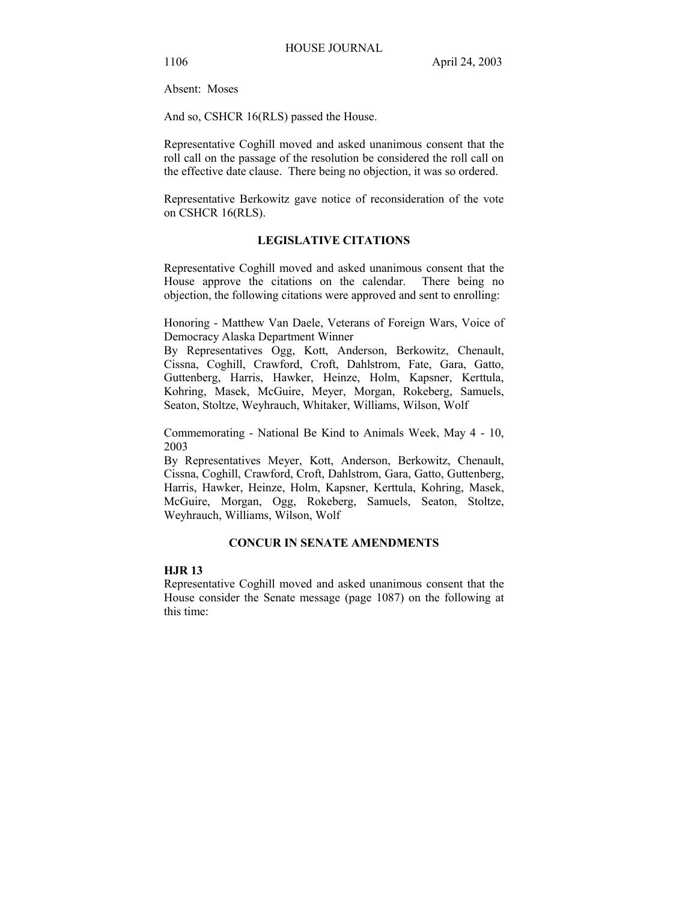Absent: Moses

And so, CSHCR 16(RLS) passed the House.

Representative Coghill moved and asked unanimous consent that the roll call on the passage of the resolution be considered the roll call on the effective date clause. There being no objection, it was so ordered.

Representative Berkowitz gave notice of reconsideration of the vote on CSHCR 16(RLS).

# **LEGISLATIVE CITATIONS**

Representative Coghill moved and asked unanimous consent that the House approve the citations on the calendar. There being no objection, the following citations were approved and sent to enrolling:

Honoring - Matthew Van Daele, Veterans of Foreign Wars, Voice of Democracy Alaska Department Winner

By Representatives Ogg, Kott, Anderson, Berkowitz, Chenault, Cissna, Coghill, Crawford, Croft, Dahlstrom, Fate, Gara, Gatto, Guttenberg, Harris, Hawker, Heinze, Holm, Kapsner, Kerttula, Kohring, Masek, McGuire, Meyer, Morgan, Rokeberg, Samuels, Seaton, Stoltze, Weyhrauch, Whitaker, Williams, Wilson, Wolf

Commemorating - National Be Kind to Animals Week, May 4 - 10, 2003

By Representatives Meyer, Kott, Anderson, Berkowitz, Chenault, Cissna, Coghill, Crawford, Croft, Dahlstrom, Gara, Gatto, Guttenberg, Harris, Hawker, Heinze, Holm, Kapsner, Kerttula, Kohring, Masek, McGuire, Morgan, Ogg, Rokeberg, Samuels, Seaton, Stoltze, Weyhrauch, Williams, Wilson, Wolf

# **CONCUR IN SENATE AMENDMENTS**

# **HJR 13**

Representative Coghill moved and asked unanimous consent that the House consider the Senate message (page 1087) on the following at this time: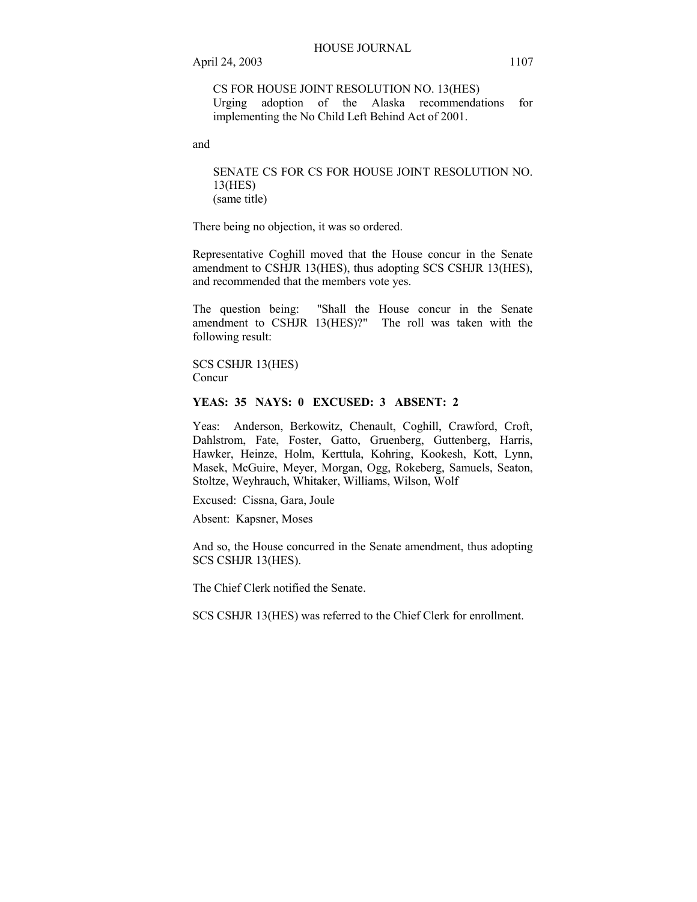# CS FOR HOUSE JOINT RESOLUTION NO. 13(HES) Urging adoption of the Alaska recommendations for implementing the No Child Left Behind Act of 2001.

and

SENATE CS FOR CS FOR HOUSE JOINT RESOLUTION NO. 13(HES) (same title)

There being no objection, it was so ordered.

Representative Coghill moved that the House concur in the Senate amendment to CSHJR 13(HES), thus adopting SCS CSHJR 13(HES), and recommended that the members vote yes.

The question being: "Shall the House concur in the Senate amendment to CSHJR 13(HES)?" The roll was taken with the following result:

SCS CSHJR 13(HES) Concur

# **YEAS: 35 NAYS: 0 EXCUSED: 3 ABSENT: 2**

Yeas: Anderson, Berkowitz, Chenault, Coghill, Crawford, Croft, Dahlstrom, Fate, Foster, Gatto, Gruenberg, Guttenberg, Harris, Hawker, Heinze, Holm, Kerttula, Kohring, Kookesh, Kott, Lynn, Masek, McGuire, Meyer, Morgan, Ogg, Rokeberg, Samuels, Seaton, Stoltze, Weyhrauch, Whitaker, Williams, Wilson, Wolf

Excused: Cissna, Gara, Joule

Absent: Kapsner, Moses

And so, the House concurred in the Senate amendment, thus adopting SCS CSHJR 13(HES).

The Chief Clerk notified the Senate.

SCS CSHJR 13(HES) was referred to the Chief Clerk for enrollment.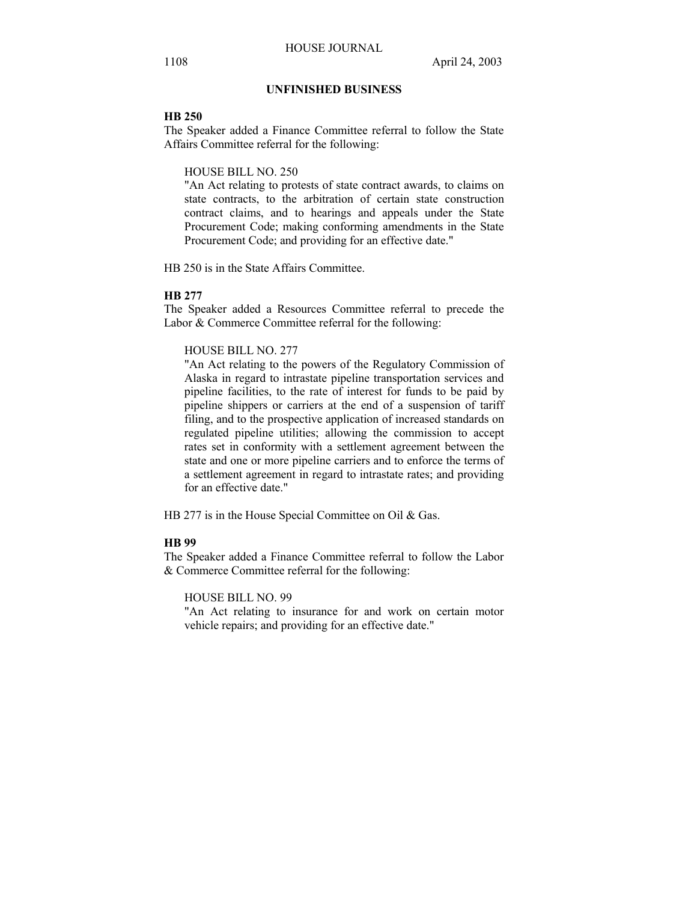# **UNFINISHED BUSINESS**

#### **HB 250**

The Speaker added a Finance Committee referral to follow the State Affairs Committee referral for the following:

#### HOUSE BILL NO. 250

"An Act relating to protests of state contract awards, to claims on state contracts, to the arbitration of certain state construction contract claims, and to hearings and appeals under the State Procurement Code; making conforming amendments in the State Procurement Code; and providing for an effective date."

HB 250 is in the State Affairs Committee.

# **HB 277**

The Speaker added a Resources Committee referral to precede the Labor & Commerce Committee referral for the following:

# HOUSE BILL NO. 277

"An Act relating to the powers of the Regulatory Commission of Alaska in regard to intrastate pipeline transportation services and pipeline facilities, to the rate of interest for funds to be paid by pipeline shippers or carriers at the end of a suspension of tariff filing, and to the prospective application of increased standards on regulated pipeline utilities; allowing the commission to accept rates set in conformity with a settlement agreement between the state and one or more pipeline carriers and to enforce the terms of a settlement agreement in regard to intrastate rates; and providing for an effective date."

HB 277 is in the House Special Committee on Oil & Gas.

## **HB 99**

The Speaker added a Finance Committee referral to follow the Labor & Commerce Committee referral for the following:

HOUSE BILL NO. 99

"An Act relating to insurance for and work on certain motor vehicle repairs; and providing for an effective date."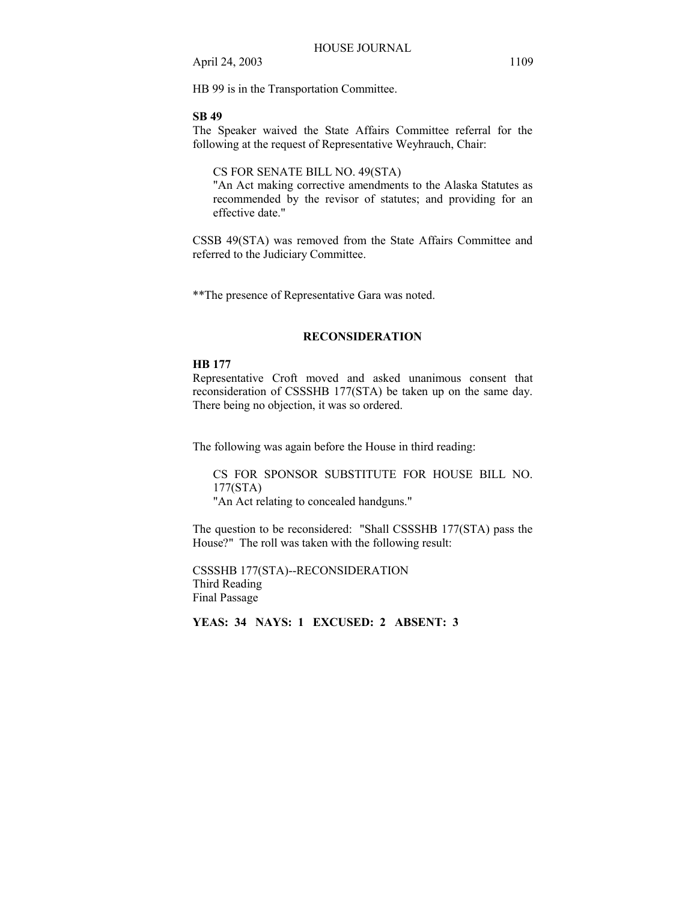HB 99 is in the Transportation Committee.

#### **SB 49**

The Speaker waived the State Affairs Committee referral for the following at the request of Representative Weyhrauch, Chair:

# CS FOR SENATE BILL NO. 49(STA)

"An Act making corrective amendments to the Alaska Statutes as recommended by the revisor of statutes; and providing for an effective date."

CSSB 49(STA) was removed from the State Affairs Committee and referred to the Judiciary Committee.

\*\*The presence of Representative Gara was noted.

#### **RECONSIDERATION**

#### **HB 177**

Representative Croft moved and asked unanimous consent that reconsideration of CSSSHB 177(STA) be taken up on the same day. There being no objection, it was so ordered.

The following was again before the House in third reading:

CS FOR SPONSOR SUBSTITUTE FOR HOUSE BILL NO. 177(STA) "An Act relating to concealed handguns."

The question to be reconsidered: "Shall CSSSHB 177(STA) pass the House?" The roll was taken with the following result:

CSSSHB 177(STA)--RECONSIDERATION Third Reading Final Passage

**YEAS: 34 NAYS: 1 EXCUSED: 2 ABSENT: 3**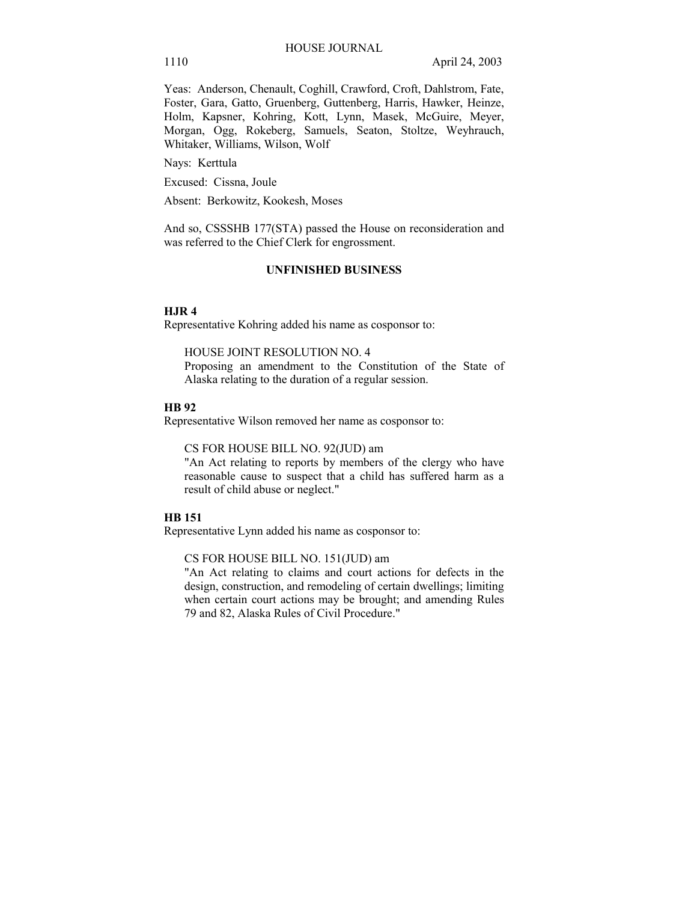Yeas: Anderson, Chenault, Coghill, Crawford, Croft, Dahlstrom, Fate, Foster, Gara, Gatto, Gruenberg, Guttenberg, Harris, Hawker, Heinze, Holm, Kapsner, Kohring, Kott, Lynn, Masek, McGuire, Meyer, Morgan, Ogg, Rokeberg, Samuels, Seaton, Stoltze, Weyhrauch, Whitaker, Williams, Wilson, Wolf

Nays: Kerttula

Excused: Cissna, Joule

Absent: Berkowitz, Kookesh, Moses

And so, CSSSHB 177(STA) passed the House on reconsideration and was referred to the Chief Clerk for engrossment.

## **UNFINISHED BUSINESS**

#### **HJR 4**

Representative Kohring added his name as cosponsor to:

HOUSE JOINT RESOLUTION NO. 4

Proposing an amendment to the Constitution of the State of Alaska relating to the duration of a regular session.

#### **HB 92**

Representative Wilson removed her name as cosponsor to:

CS FOR HOUSE BILL NO. 92(JUD) am

"An Act relating to reports by members of the clergy who have reasonable cause to suspect that a child has suffered harm as a result of child abuse or neglect."

## **HB 151**

Representative Lynn added his name as cosponsor to:

CS FOR HOUSE BILL NO. 151(JUD) am

"An Act relating to claims and court actions for defects in the design, construction, and remodeling of certain dwellings; limiting when certain court actions may be brought; and amending Rules 79 and 82, Alaska Rules of Civil Procedure."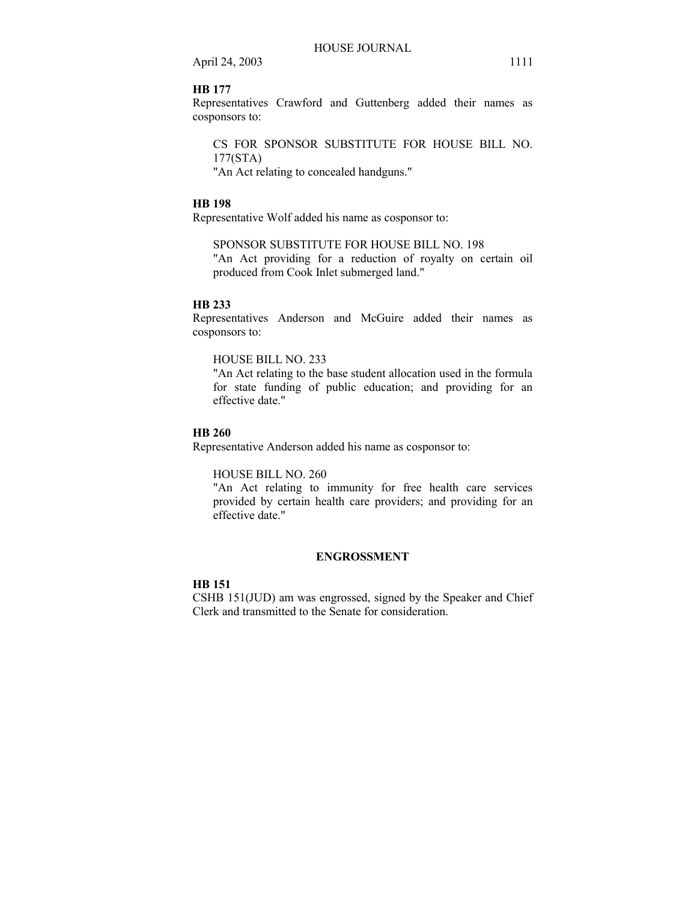# **HB 177**

Representatives Crawford and Guttenberg added their names as cosponsors to:

CS FOR SPONSOR SUBSTITUTE FOR HOUSE BILL NO. 177(STA)

"An Act relating to concealed handguns."

# **HB 198**

Representative Wolf added his name as cosponsor to:

# SPONSOR SUBSTITUTE FOR HOUSE BILL NO. 198

"An Act providing for a reduction of royalty on certain oil produced from Cook Inlet submerged land."

## **HB 233**

Representatives Anderson and McGuire added their names as cosponsors to:

# HOUSE BILL NO. 233

"An Act relating to the base student allocation used in the formula for state funding of public education; and providing for an effective date."

## **HB 260**

Representative Anderson added his name as cosponsor to:

#### HOUSE BILL NO. 260

"An Act relating to immunity for free health care services provided by certain health care providers; and providing for an effective date."

## **ENGROSSMENT**

# **HB 151**

CSHB 151(JUD) am was engrossed, signed by the Speaker and Chief Clerk and transmitted to the Senate for consideration.